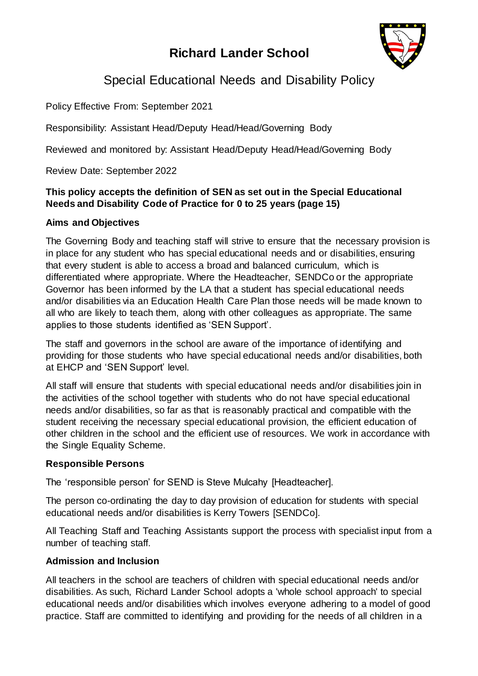# **Richard Lander School**



# Special Educational Needs and Disability Policy

Policy Effective From: September 2021

Responsibility: Assistant Head/Deputy Head/Head/Governing Body

Reviewed and monitored by: Assistant Head/Deputy Head/Head/Governing Body

Review Date: September 2022

# **This policy accepts the definition of SEN as set out in the Special Educational Needs and Disability Code of Practice for 0 to 25 years (page 15)**

# **Aims and Objectives**

The Governing Body and teaching staff will strive to ensure that the necessary provision is in place for any student who has special educational needs and or disabilities, ensuring that every student is able to access a broad and balanced curriculum, which is differentiated where appropriate. Where the Headteacher, SENDCo or the appropriate Governor has been informed by the LA that a student has special educational needs and/or disabilities via an Education Health Care Plan those needs will be made known to all who are likely to teach them, along with other colleagues as appropriate. The same applies to those students identified as 'SEN Support'.

The staff and governors in the school are aware of the importance of identifying and providing for those students who have special educational needs and/or disabilities, both at EHCP and 'SEN Support' level.

All staff will ensure that students with special educational needs and/or disabilities join in the activities of the school together with students who do not have special educational needs and/or disabilities, so far as that is reasonably practical and compatible with the student receiving the necessary special educational provision, the efficient education of other children in the school and the efficient use of resources. We work in accordance with the Single Equality Scheme.

# **Responsible Persons**

The 'responsible person' for SEND is Steve Mulcahy [Headteacher].

The person co-ordinating the day to day provision of education for students with special educational needs and/or disabilities is Kerry Towers [SENDCo].

All Teaching Staff and Teaching Assistants support the process with specialist input from a number of teaching staff.

# **Admission and Inclusion**

All teachers in the school are teachers of children with special educational needs and/or disabilities. As such, Richard Lander School adopts a 'whole school approach' to special educational needs and/or disabilities which involves everyone adhering to a model of good practice. Staff are committed to identifying and providing for the needs of all children in a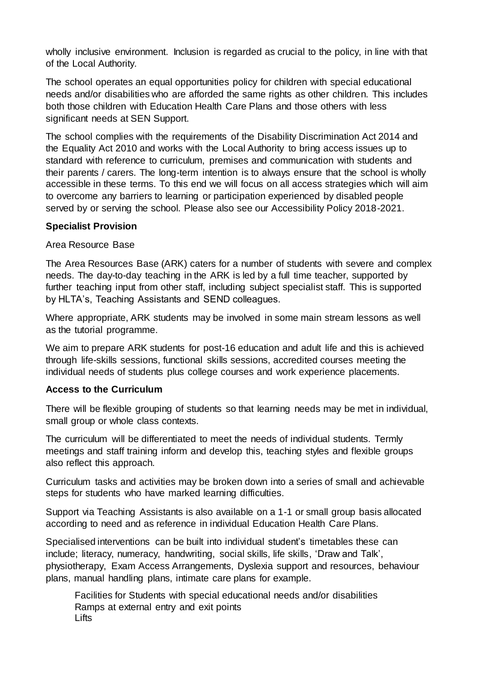wholly inclusive environment. Inclusion is regarded as crucial to the policy, in line with that of the Local Authority.

The school operates an equal opportunities policy for children with special educational needs and/or disabilities who are afforded the same rights as other children. This includes both those children with Education Health Care Plans and those others with less significant needs at SEN Support.

The school complies with the requirements of the Disability Discrimination Act 2014 and the Equality Act 2010 and works with the Local Authority to bring access issues up to standard with reference to curriculum, premises and communication with students and their parents / carers. The long-term intention is to always ensure that the school is wholly accessible in these terms. To this end we will focus on all access strategies which will aim to overcome any barriers to learning or participation experienced by disabled people served by or serving the school. Please also see our Accessibility Policy 2018-2021.

### **Specialist Provision**

### Area Resource Base

The Area Resources Base (ARK) caters for a number of students with severe and complex needs. The day-to-day teaching in the ARK is led by a full time teacher, supported by further teaching input from other staff, including subject specialist staff. This is supported by HLTA's, Teaching Assistants and SEND colleagues.

Where appropriate, ARK students may be involved in some main stream lessons as well as the tutorial programme.

We aim to prepare ARK students for post-16 education and adult life and this is achieved through life-skills sessions, functional skills sessions, accredited courses meeting the individual needs of students plus college courses and work experience placements.

### **Access to the Curriculum**

There will be flexible grouping of students so that learning needs may be met in individual, small group or whole class contexts.

The curriculum will be differentiated to meet the needs of individual students. Termly meetings and staff training inform and develop this, teaching styles and flexible groups also reflect this approach.

Curriculum tasks and activities may be broken down into a series of small and achievable steps for students who have marked learning difficulties.

Support via Teaching Assistants is also available on a 1-1 or small group basis allocated according to need and as reference in individual Education Health Care Plans.

Specialised interventions can be built into individual student's timetables these can include; literacy, numeracy, handwriting, social skills, life skills, 'Draw and Talk', physiotherapy, Exam Access Arrangements, Dyslexia support and resources, behaviour plans, manual handling plans, intimate care plans for example.

Facilities for Students with special educational needs and/or disabilities Ramps at external entry and exit points **Lifts**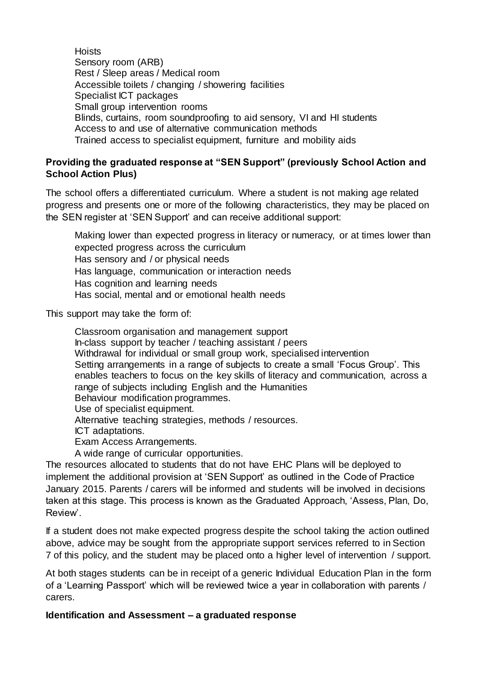**Hoists** Sensory room (ARB) Rest / Sleep areas / Medical room Accessible toilets / changing / showering facilities Specialist ICT packages Small group intervention rooms Blinds, curtains, room soundproofing to aid sensory, VI and HI students Access to and use of alternative communication methods Trained access to specialist equipment, furniture and mobility aids

## **Providing the graduated response at "SEN Support" (previously School Action and School Action Plus)**

The school offers a differentiated curriculum. Where a student is not making age related progress and presents one or more of the following characteristics, they may be placed on the SEN register at 'SEN Support' and can receive additional support:

Making lower than expected progress in literacy or numeracy, or at times lower than expected progress across the curriculum Has sensory and / or physical needs Has language, communication or interaction needs Has cognition and learning needs Has social, mental and or emotional health needs

This support may take the form of:

Classroom organisation and management support In-class support by teacher / teaching assistant / peers Withdrawal for individual or small group work, specialised intervention Setting arrangements in a range of subjects to create a small 'Focus Group'. This enables teachers to focus on the key skills of literacy and communication, across a range of subjects including English and the Humanities Behaviour modification programmes. Use of specialist equipment. Alternative teaching strategies, methods / resources. ICT adaptations. Exam Access Arrangements. A wide range of curricular opportunities.

The resources allocated to students that do not have EHC Plans will be deployed to implement the additional provision at 'SEN Support' as outlined in the Code of Practice January 2015. Parents / carers will be informed and students will be involved in decisions taken at this stage. This process is known as the Graduated Approach, 'Assess, Plan, Do, Review'.

If a student does not make expected progress despite the school taking the action outlined above, advice may be sought from the appropriate support services referred to in Section 7 of this policy, and the student may be placed onto a higher level of intervention / support.

At both stages students can be in receipt of a generic Individual Education Plan in the form of a 'Learning Passport' which will be reviewed twice a year in collaboration with parents / carers.

# **Identification and Assessment – a graduated response**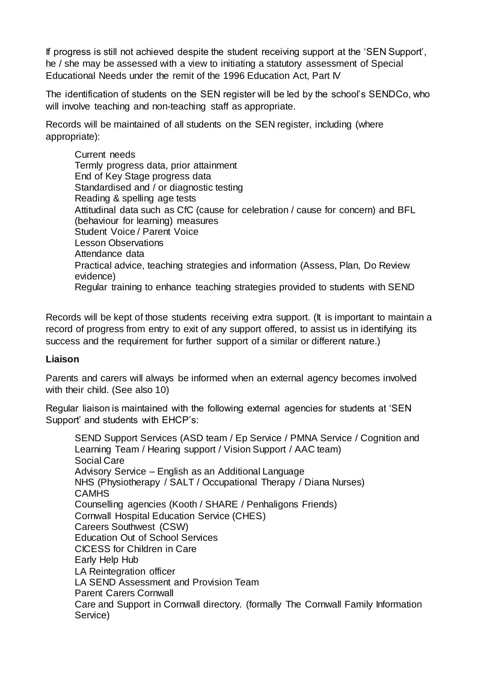If progress is still not achieved despite the student receiving support at the 'SEN Support', he / she may be assessed with a view to initiating a statutory assessment of Special Educational Needs under the remit of the 1996 Education Act, Part IV

The identification of students on the SEN register will be led by the school's SENDCo, who will involve teaching and non-teaching staff as appropriate.

Records will be maintained of all students on the SEN register, including (where appropriate):

Current needs Termly progress data, prior attainment End of Key Stage progress data Standardised and / or diagnostic testing Reading & spelling age tests Attitudinal data such as CfC (cause for celebration / cause for concern) and BFL (behaviour for learning) measures Student Voice / Parent Voice Lesson Observations Attendance data Practical advice, teaching strategies and information (Assess, Plan, Do Review evidence) Regular training to enhance teaching strategies provided to students with SEND

Records will be kept of those students receiving extra support. (It is important to maintain a record of progress from entry to exit of any support offered, to assist us in identifying its success and the requirement for further support of a similar or different nature.)

# **Liaison**

Parents and carers will always be informed when an external agency becomes involved with their child. (See also 10)

Regular liaison is maintained with the following external agencies for students at 'SEN Support' and students with EHCP's:

SEND Support Services (ASD team / Ep Service / PMNA Service / Cognition and Learning Team / Hearing support / Vision Support / AAC team) Social Care Advisory Service – English as an Additional Language NHS (Physiotherapy / SALT / Occupational Therapy / Diana Nurses) **CAMHS** Counselling agencies (Kooth / SHARE / Penhaligons Friends) Cornwall Hospital Education Service (CHES) Careers Southwest (CSW) Education Out of School Services CICESS for Children in Care Early Help Hub LA Reintegration officer LA SEND Assessment and Provision Team Parent Carers Cornwall Care and Support in Cornwall directory. (formally The Cornwall Family Information Service)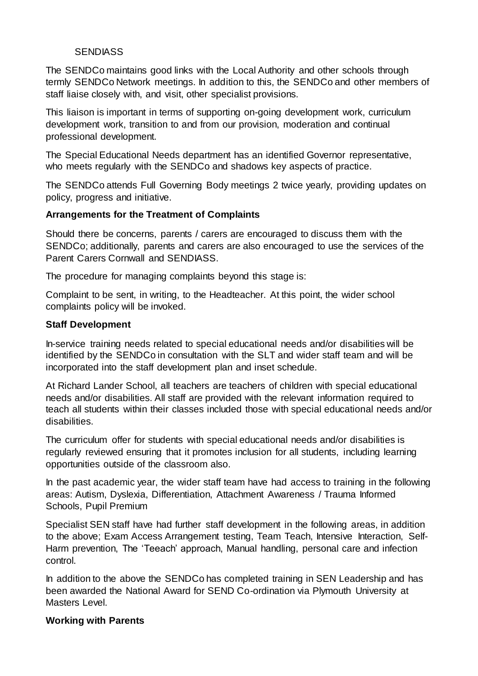## **SENDIASS**

The SENDCo maintains good links with the Local Authority and other schools through termly SENDCo Network meetings. In addition to this, the SENDCo and other members of staff liaise closely with, and visit, other specialist provisions.

This liaison is important in terms of supporting on-going development work, curriculum development work, transition to and from our provision, moderation and continual professional development.

The Special Educational Needs department has an identified Governor representative, who meets regularly with the SENDCo and shadows key aspects of practice.

The SENDCo attends Full Governing Body meetings 2 twice yearly, providing updates on policy, progress and initiative.

### **Arrangements for the Treatment of Complaints**

Should there be concerns, parents / carers are encouraged to discuss them with the SENDCo; additionally, parents and carers are also encouraged to use the services of the Parent Carers Cornwall and SENDIASS.

The procedure for managing complaints beyond this stage is:

Complaint to be sent, in writing, to the Headteacher. At this point, the wider school complaints policy will be invoked.

### **Staff Development**

In-service training needs related to special educational needs and/or disabilities will be identified by the SENDCo in consultation with the SLT and wider staff team and will be incorporated into the staff development plan and inset schedule.

At Richard Lander School, all teachers are teachers of children with special educational needs and/or disabilities. All staff are provided with the relevant information required to teach all students within their classes included those with special educational needs and/or disabilities.

The curriculum offer for students with special educational needs and/or disabilities is regularly reviewed ensuring that it promotes inclusion for all students, including learning opportunities outside of the classroom also.

In the past academic year, the wider staff team have had access to training in the following areas: Autism, Dyslexia, Differentiation, Attachment Awareness / Trauma Informed Schools, Pupil Premium

Specialist SEN staff have had further staff development in the following areas, in addition to the above; Exam Access Arrangement testing, Team Teach, Intensive Interaction, Self-Harm prevention, The 'Teeach' approach, Manual handling, personal care and infection control.

In addition to the above the SENDCo has completed training in SEN Leadership and has been awarded the National Award for SEND Co-ordination via Plymouth University at Masters Level.

### **Working with Parents**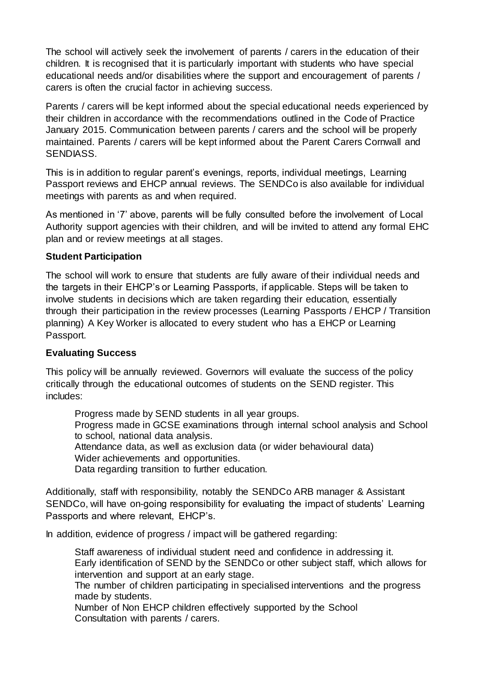The school will actively seek the involvement of parents / carers in the education of their children. It is recognised that it is particularly important with students who have special educational needs and/or disabilities where the support and encouragement of parents / carers is often the crucial factor in achieving success.

Parents / carers will be kept informed about the special educational needs experienced by their children in accordance with the recommendations outlined in the Code of Practice January 2015. Communication between parents / carers and the school will be properly maintained. Parents / carers will be kept informed about the Parent Carers Cornwall and SENDIASS.

This is in addition to regular parent's evenings, reports, individual meetings, Learning Passport reviews and EHCP annual reviews. The SENDCo is also available for individual meetings with parents as and when required.

As mentioned in '7' above, parents will be fully consulted before the involvement of Local Authority support agencies with their children, and will be invited to attend any formal EHC plan and or review meetings at all stages.

## **Student Participation**

The school will work to ensure that students are fully aware of their individual needs and the targets in their EHCP's or Learning Passports, if applicable. Steps will be taken to involve students in decisions which are taken regarding their education, essentially through their participation in the review processes (Learning Passports / EHCP / Transition planning) A Key Worker is allocated to every student who has a EHCP or Learning Passport.

### **Evaluating Success**

This policy will be annually reviewed. Governors will evaluate the success of the policy critically through the educational outcomes of students on the SEND register. This includes:

Progress made by SEND students in all year groups.

Progress made in GCSE examinations through internal school analysis and School to school, national data analysis.

Attendance data, as well as exclusion data (or wider behavioural data) Wider achievements and opportunities.

Data regarding transition to further education.

Additionally, staff with responsibility, notably the SENDCo ARB manager & Assistant SENDCo, will have on-going responsibility for evaluating the impact of students' Learning Passports and where relevant, EHCP's.

In addition, evidence of progress / impact will be gathered regarding:

Staff awareness of individual student need and confidence in addressing it. Early identification of SEND by the SENDCo or other subject staff, which allows for intervention and support at an early stage.

The number of children participating in specialised interventions and the progress made by students.

Number of Non EHCP children effectively supported by the School Consultation with parents / carers.